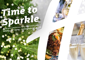# *Time to [Sparkle](https://derby-nottingham.hichristmas.co.uk) Book your Christmas Party and Events at*

*Holiday Inn® Derby - Nottingham M1, Jct.25*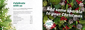Whether you're looking to organise a spectacular Christmas party for colleagues, a festive night out for friends or a celebratory feast with loved ones, we've got the perfect package for you.

### *Celebrate with us*



2

Why not join us at the Holiday Inn Derby - Nottingham M1, Jct. 25 to celebrate Christmas 2022 in style?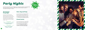#### *All-Inclusive Party Night*

Our all-inclusive party nights include everything you need for the perfect festive night out! Enjoy a three-course meal, disco and drinks throughout the evening. The bar will offer you plenty of choice from house wine, house spirits & mixers, draught lager/beer, selected alcopops and soft drinks all included in the price. The all-inclusive bar is available from 8pm - 12am

> **Fridays: 9th and 16th December Saturday 17th December**

#### **£44.95 per adult**

**Fridays: 25th November & 2nd December Saturday 26th November**

# *[Party Nights](https://derby-nottingham.hichristmas.co.uk)*

Our festive party nights can accommodate up to 150 people and feature a private bar area. All-Inclusive parties commence at 7.30pm, dinner served at 8.00pm, last orders at mid-night and carriages at 12.30am.



**£49.95 per adult**

#### *Meet, Stay and Party*

Work, rest and play! Join us throughout November, December or January with your colleagues for a full-day meeting, your choice of celebration in the evening, overnight accommodation and breakfast the following day. Plan your end-of-year meeting today! Please enquire for availability and pricing.

#### *Private Parties*

From intimate family gatherings to large corporate parties, we have functions rooms available to hire based on your requirements. Please contact us so we can help you plan your perfect celebration. Minimum numbers apply. Prices available upon request. Pre-booking only and subject to availability. Dates sell fast so enquire today!

4

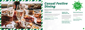## *[Casual Festive](https://derby-nottingham.hichristmas.co.uk) Dining*

Whether you're looking to organise a spectacular Christmas dinner for colleagues, a festive lunch for friends or a celebratory feast with loved ones, we've got the perfect event for you.

#### *Festive Lunch*

Our festive lunches are perfect for any occasion, whether you want to spend time with family, friends or work colleagues. Includes a glass of fizz upon arrival and a three-course festive meal.

**Available seven days a week. (subject to availability). Pre-booking essential. Call 03333 209 327 opt 4 for to book.**

#### *Pizza and Prosecco*

Pizza and Prosecco = Perfect! Book today so you can enjoy a pizza and a glass of Prosecco each in the relaxed atmosphere of our Open Lobby.

#### **£14.95 per person**

#### *Festive Fizz Afternoon Tea*

Enjoy a festive afternoon tea, including tea & coffee and a refreshing glass of fizz! The perfect treat for anyone to enjoy. It also includes a selection of sandwiches, scones with cream & jam and a mouthwatering slice of seasonal cake.



#### **£18.00 per person**



**From £17.95 per person**

**Available every Tuesday and Thursday throughout December at 12pm, 12:30pm and 1pm. Pre-booking essential, available to book online.** 

**Fridays and Sundays throughout December at 5pm, 6pm and 6:30pm. Available to book online.**

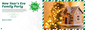### *[New Year's Eve](https://derby-nottingham.hichristmas.co.uk) Family Party*

Let's get the party started with all the family to enjoy! You will be greeted with a drink upon arrival, followed by fantastic food, children's party games and disco until 12:10am. Think the little ones might be tired? We have family rooms available too! Grab all of the family and make the last night of 2022 one to remember!

> **£44.95 per adult £24.95 per child (aged 3-12 years) Under 3's eat free Saturday 31st December**

*Click to book*

*Menus to follow*

8

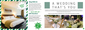### *Stay With Us*

Why not make a night of it and enjoy our special Christmas rates? Room types include standard double, family and twin. Take advantage of up to 20% off our best flexible, bed and breakfast rate. No deposit required and can be cancelled free of charge up to 48 hours prior to arrival.

### *Gift Vouchers*  $-$  Up to 20% off  $-$

We are excited to share with you the amazing gift vouchers we now have available at Holiday Inn Derby - Nottingham. From delightful afternoon teas to overnight break packages, there's a gift for everyone. Give the gift of travel this year!



Christmas is such a wonderful time of year, why not consider having a festive wedding celebration? Our weddings are [available all year round and our fantastic wedding team will work with you to ensure you get everything you desire to](http://www.hiderbynottinghamhotel.co.uk/weddings)  make your special day a dream come true.



#### Contact us to start creating a wedding that's you, or click to find out more about our weddings



# A WEDDING THAT'S YOU